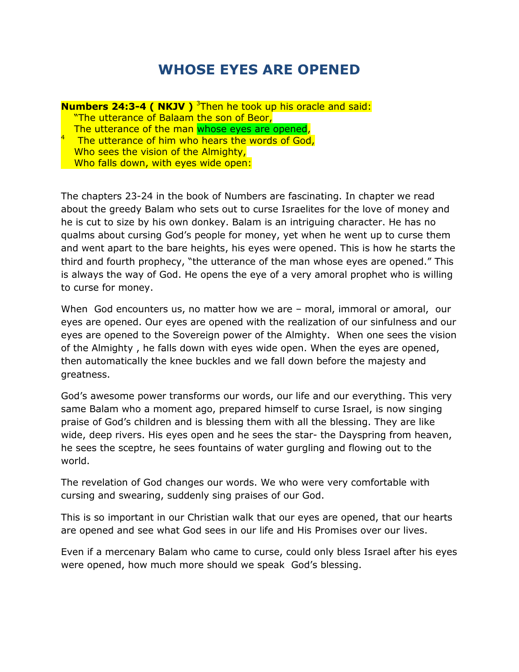## **WHOSE EYES ARE OPENED**

**Numbers 24:3-4 ( NKJV )** <sup>3</sup>Then he took up his oracle and said: "The utterance of Balaam the son of Beor, The utterance of the man whose eyes are opened, 4 The utterance of him who hears the words of God, Who sees the vision of the Almighty, Who falls down, with eyes wide open:

The chapters 23-24 in the book of Numbers are fascinating. In chapter we read about the greedy Balam who sets out to curse Israelites for the love of money and he is cut to size by his own donkey. Balam is an intriguing character. He has no qualms about cursing God's people for money, yet when he went up to curse them and went apart to the bare heights, his eyes were opened. This is how he starts the third and fourth prophecy, "the utterance of the man whose eyes are opened." This is always the way of God. He opens the eye of a very amoral prophet who is willing to curse for money.

When God encounters us, no matter how we are – moral, immoral or amoral, our eyes are opened. Our eyes are opened with the realization of our sinfulness and our eyes are opened to the Sovereign power of the Almighty. When one sees the vision of the Almighty , he falls down with eyes wide open. When the eyes are opened, then automatically the knee buckles and we fall down before the majesty and greatness.

God's awesome power transforms our words, our life and our everything. This very same Balam who a moment ago, prepared himself to curse Israel, is now singing praise of God's children and is blessing them with all the blessing. They are like wide, deep rivers. His eyes open and he sees the star- the Dayspring from heaven, he sees the sceptre, he sees fountains of water gurgling and flowing out to the world.

The revelation of God changes our words. We who were very comfortable with cursing and swearing, suddenly sing praises of our God.

This is so important in our Christian walk that our eyes are opened, that our hearts are opened and see what God sees in our life and His Promises over our lives.

Even if a mercenary Balam who came to curse, could only bless Israel after his eyes were opened, how much more should we speak God's blessing.